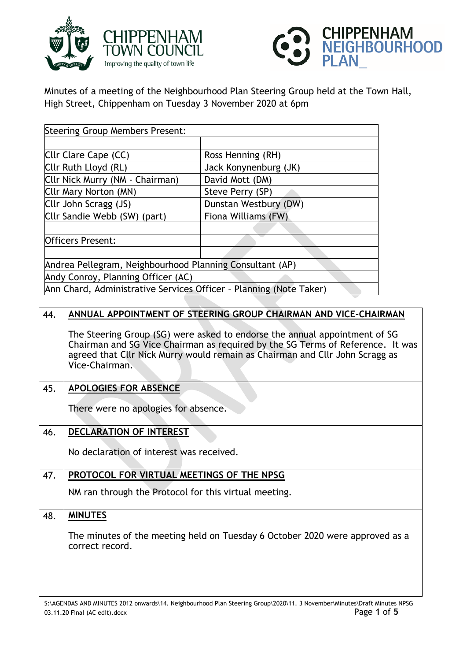



Minutes of a meeting of the Neighbourhood Plan Steering Group held at the Town Hall, High Street, Chippenham on Tuesday 3 November 2020 at 6pm

| <b>Steering Group Members Present:</b>                             |                       |
|--------------------------------------------------------------------|-----------------------|
|                                                                    |                       |
| Cllr Clare Cape (CC)                                               | Ross Henning (RH)     |
| Cllr Ruth Lloyd (RL)                                               | Jack Konynenburg (JK) |
| Cllr Nick Murry (NM - Chairman)                                    | David Mott (DM)       |
| Cllr Mary Norton (MN)                                              | Steve Perry (SP)      |
| Cllr John Scragg (JS)                                              | Dunstan Westbury (DW) |
| Cllr Sandie Webb (SW) (part)                                       | Fiona Williams (FW)   |
|                                                                    |                       |
| <b>Officers Present:</b>                                           |                       |
|                                                                    |                       |
| Andrea Pellegram, Neighbourhood Planning Consultant (AP)           |                       |
| Andy Conroy, Planning Officer (AC)                                 |                       |
| Ann Chard, Administrative Services Officer - Planning (Note Taker) |                       |
|                                                                    |                       |

| 44. | ANNUAL APPOINTMENT OF STEERING GROUP CHAIRMAN AND VICE-CHAIRMAN                                                                                                                                                                                                |
|-----|----------------------------------------------------------------------------------------------------------------------------------------------------------------------------------------------------------------------------------------------------------------|
|     | The Steering Group (SG) were asked to endorse the annual appointment of SG<br>Chairman and SG Vice Chairman as required by the SG Terms of Reference. It was<br>agreed that Cllr Nick Murry would remain as Chairman and Cllr John Scragg as<br>Vice-Chairman. |
| 45. | <b>APOLOGIES FOR ABSENCE</b>                                                                                                                                                                                                                                   |
|     | There were no apologies for absence.                                                                                                                                                                                                                           |
| 46. | <b>DECLARATION OF INTEREST</b>                                                                                                                                                                                                                                 |
|     | No declaration of interest was received.                                                                                                                                                                                                                       |
| 47. | PROTOCOL FOR VIRTUAL MEETINGS OF THE NPSG                                                                                                                                                                                                                      |
|     | NM ran through the Protocol for this virtual meeting.                                                                                                                                                                                                          |
| 48. | <b>MINUTES</b>                                                                                                                                                                                                                                                 |
|     | The minutes of the meeting held on Tuesday 6 October 2020 were approved as a<br>correct record.                                                                                                                                                                |
|     |                                                                                                                                                                                                                                                                |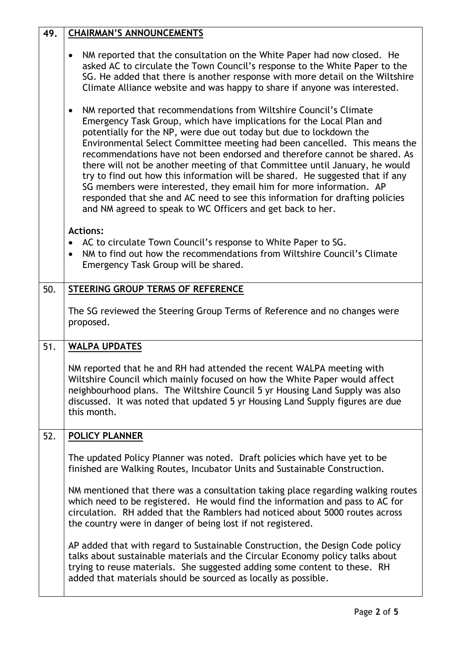| 49. | <b>CHAIRMAN'S ANNOUNCEMENTS</b>                                                                                                                                                                                                                                                                                                                                                                                                                                                                                                                                                                                                                                                                                                                                     |
|-----|---------------------------------------------------------------------------------------------------------------------------------------------------------------------------------------------------------------------------------------------------------------------------------------------------------------------------------------------------------------------------------------------------------------------------------------------------------------------------------------------------------------------------------------------------------------------------------------------------------------------------------------------------------------------------------------------------------------------------------------------------------------------|
|     | NM reported that the consultation on the White Paper had now closed. He<br>$\bullet$<br>asked AC to circulate the Town Council's response to the White Paper to the<br>SG. He added that there is another response with more detail on the Wiltshire<br>Climate Alliance website and was happy to share if anyone was interested.                                                                                                                                                                                                                                                                                                                                                                                                                                   |
|     | NM reported that recommendations from Wiltshire Council's Climate<br>٠<br>Emergency Task Group, which have implications for the Local Plan and<br>potentially for the NP, were due out today but due to lockdown the<br>Environmental Select Committee meeting had been cancelled. This means the<br>recommendations have not been endorsed and therefore cannot be shared. As<br>there will not be another meeting of that Committee until January, he would<br>try to find out how this information will be shared. He suggested that if any<br>SG members were interested, they email him for more information. AP<br>responded that she and AC need to see this information for drafting policies<br>and NM agreed to speak to WC Officers and get back to her. |
|     | <b>Actions:</b><br>AC to circulate Town Council's response to White Paper to SG.<br>$\bullet$<br>NM to find out how the recommendations from Wiltshire Council's Climate<br>Emergency Task Group will be shared.                                                                                                                                                                                                                                                                                                                                                                                                                                                                                                                                                    |
| 50. | STEERING GROUP TERMS OF REFERENCE                                                                                                                                                                                                                                                                                                                                                                                                                                                                                                                                                                                                                                                                                                                                   |
|     | The SG reviewed the Steering Group Terms of Reference and no changes were<br>proposed.                                                                                                                                                                                                                                                                                                                                                                                                                                                                                                                                                                                                                                                                              |
| 51. | <b>WALPA UPDATES</b>                                                                                                                                                                                                                                                                                                                                                                                                                                                                                                                                                                                                                                                                                                                                                |
|     | NM reported that he and RH had attended the recent WALPA meeting with<br>Wiltshire Council which mainly focused on how the White Paper would affect<br>neighbourhood plans. The Wiltshire Council 5 yr Housing Land Supply was also<br>discussed. It was noted that updated 5 yr Housing Land Supply figures are due<br>this month.                                                                                                                                                                                                                                                                                                                                                                                                                                 |
| 52. | POLICY PLANNER                                                                                                                                                                                                                                                                                                                                                                                                                                                                                                                                                                                                                                                                                                                                                      |
|     | The updated Policy Planner was noted. Draft policies which have yet to be<br>finished are Walking Routes, Incubator Units and Sustainable Construction.                                                                                                                                                                                                                                                                                                                                                                                                                                                                                                                                                                                                             |
|     | NM mentioned that there was a consultation taking place regarding walking routes<br>which need to be registered. He would find the information and pass to AC for<br>circulation. RH added that the Ramblers had noticed about 5000 routes across<br>the country were in danger of being lost if not registered.                                                                                                                                                                                                                                                                                                                                                                                                                                                    |
|     | AP added that with regard to Sustainable Construction, the Design Code policy<br>talks about sustainable materials and the Circular Economy policy talks about<br>trying to reuse materials. She suggested adding some content to these. RH<br>added that materials should be sourced as locally as possible.                                                                                                                                                                                                                                                                                                                                                                                                                                                       |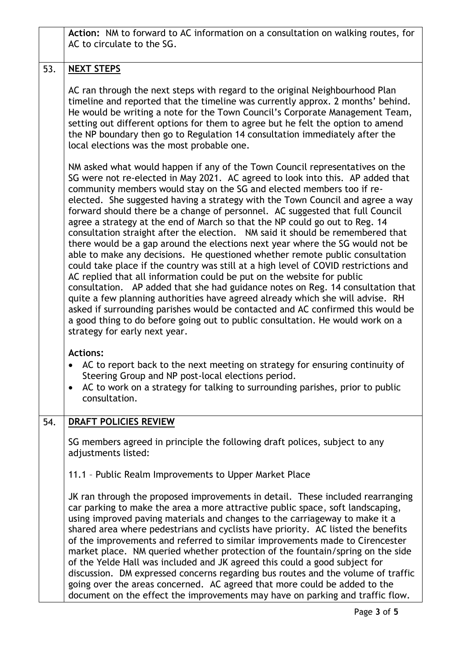|     | Action: NM to forward to AC information on a consultation on walking routes, for<br>AC to circulate to the SG.                                                                                                                                                                                                                                                                                                                                                                                                                                                                                                                                                                                                                                                                                                                                                                                                                                                                                                                                                                                                                                                                                                                                                                            |
|-----|-------------------------------------------------------------------------------------------------------------------------------------------------------------------------------------------------------------------------------------------------------------------------------------------------------------------------------------------------------------------------------------------------------------------------------------------------------------------------------------------------------------------------------------------------------------------------------------------------------------------------------------------------------------------------------------------------------------------------------------------------------------------------------------------------------------------------------------------------------------------------------------------------------------------------------------------------------------------------------------------------------------------------------------------------------------------------------------------------------------------------------------------------------------------------------------------------------------------------------------------------------------------------------------------|
| 53. | <b>NEXT STEPS</b>                                                                                                                                                                                                                                                                                                                                                                                                                                                                                                                                                                                                                                                                                                                                                                                                                                                                                                                                                                                                                                                                                                                                                                                                                                                                         |
|     | AC ran through the next steps with regard to the original Neighbourhood Plan<br>timeline and reported that the timeline was currently approx. 2 months' behind.<br>He would be writing a note for the Town Council's Corporate Management Team,<br>setting out different options for them to agree but he felt the option to amend<br>the NP boundary then go to Regulation 14 consultation immediately after the<br>local elections was the most probable one.                                                                                                                                                                                                                                                                                                                                                                                                                                                                                                                                                                                                                                                                                                                                                                                                                           |
|     | NM asked what would happen if any of the Town Council representatives on the<br>SG were not re-elected in May 2021. AC agreed to look into this. AP added that<br>community members would stay on the SG and elected members too if re-<br>elected. She suggested having a strategy with the Town Council and agree a way<br>forward should there be a change of personnel. AC suggested that full Council<br>agree a strategy at the end of March so that the NP could go out to Reg. 14<br>consultation straight after the election.  NM said it should be remembered that<br>there would be a gap around the elections next year where the SG would not be<br>able to make any decisions. He questioned whether remote public consultation<br>could take place if the country was still at a high level of COVID restrictions and<br>AC replied that all information could be put on the website for public<br>consultation. AP added that she had guidance notes on Reg. 14 consultation that<br>quite a few planning authorities have agreed already which she will advise. RH<br>asked if surrounding parishes would be contacted and AC confirmed this would be<br>a good thing to do before going out to public consultation. He would work on a<br>strategy for early next year. |
|     | <b>Actions:</b><br>AC to report back to the next meeting on strategy for ensuring continuity of<br>Steering Group and NP post-local elections period.<br>AC to work on a strategy for talking to surrounding parishes, prior to public<br>consultation.                                                                                                                                                                                                                                                                                                                                                                                                                                                                                                                                                                                                                                                                                                                                                                                                                                                                                                                                                                                                                                   |
| 54. | DRAFT POLICIES REVIEW                                                                                                                                                                                                                                                                                                                                                                                                                                                                                                                                                                                                                                                                                                                                                                                                                                                                                                                                                                                                                                                                                                                                                                                                                                                                     |
|     | SG members agreed in principle the following draft polices, subject to any<br>adjustments listed:                                                                                                                                                                                                                                                                                                                                                                                                                                                                                                                                                                                                                                                                                                                                                                                                                                                                                                                                                                                                                                                                                                                                                                                         |
|     | 11.1 - Public Realm Improvements to Upper Market Place                                                                                                                                                                                                                                                                                                                                                                                                                                                                                                                                                                                                                                                                                                                                                                                                                                                                                                                                                                                                                                                                                                                                                                                                                                    |
|     | JK ran through the proposed improvements in detail. These included rearranging<br>car parking to make the area a more attractive public space, soft landscaping,<br>using improved paving materials and changes to the carriageway to make it a<br>shared area where pedestrians and cyclists have priority. AC listed the benefits<br>of the improvements and referred to similar improvements made to Cirencester<br>market place. NM queried whether protection of the fountain/spring on the side<br>of the Yelde Hall was included and JK agreed this could a good subject for<br>discussion. DM expressed concerns regarding bus routes and the volume of traffic<br>going over the areas concerned. AC agreed that more could be added to the<br>document on the effect the improvements may have on parking and traffic flow.                                                                                                                                                                                                                                                                                                                                                                                                                                                     |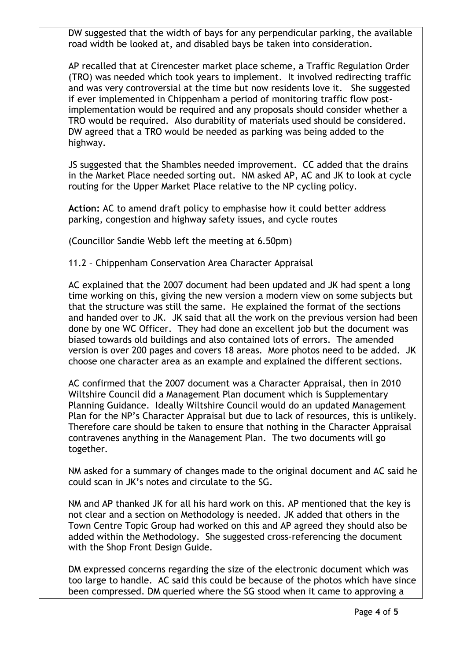DW suggested that the width of bays for any perpendicular parking, the available road width be looked at, and disabled bays be taken into consideration.

AP recalled that at Cirencester market place scheme, a Traffic Regulation Order (TRO) was needed which took years to implement. It involved redirecting traffic and was very controversial at the time but now residents love it. She suggested if ever implemented in Chippenham a period of monitoring traffic flow postimplementation would be required and any proposals should consider whether a TRO would be required. Also durability of materials used should be considered. DW agreed that a TRO would be needed as parking was being added to the highway.

JS suggested that the Shambles needed improvement. CC added that the drains in the Market Place needed sorting out. NM asked AP, AC and JK to look at cycle routing for the Upper Market Place relative to the NP cycling policy.

**Action:** AC to amend draft policy to emphasise how it could better address parking, congestion and highway safety issues, and cycle routes

(Councillor Sandie Webb left the meeting at 6.50pm)

11.2 – Chippenham Conservation Area Character Appraisal

AC explained that the 2007 document had been updated and JK had spent a long time working on this, giving the new version a modern view on some subjects but that the structure was still the same. He explained the format of the sections and handed over to JK. JK said that all the work on the previous version had been done by one WC Officer. They had done an excellent job but the document was biased towards old buildings and also contained lots of errors. The amended version is over 200 pages and covers 18 areas. More photos need to be added. JK choose one character area as an example and explained the different sections.

AC confirmed that the 2007 document was a Character Appraisal, then in 2010 Wiltshire Council did a Management Plan document which is Supplementary Planning Guidance. Ideally Wiltshire Council would do an updated Management Plan for the NP's Character Appraisal but due to lack of resources, this is unlikely. Therefore care should be taken to ensure that nothing in the Character Appraisal contravenes anything in the Management Plan. The two documents will go together.

NM asked for a summary of changes made to the original document and AC said he could scan in JK's notes and circulate to the SG.

NM and AP thanked JK for all his hard work on this. AP mentioned that the key is not clear and a section on Methodology is needed. JK added that others in the Town Centre Topic Group had worked on this and AP agreed they should also be added within the Methodology. She suggested cross-referencing the document with the Shop Front Design Guide.

DM expressed concerns regarding the size of the electronic document which was too large to handle. AC said this could be because of the photos which have since been compressed. DM queried where the SG stood when it came to approving a